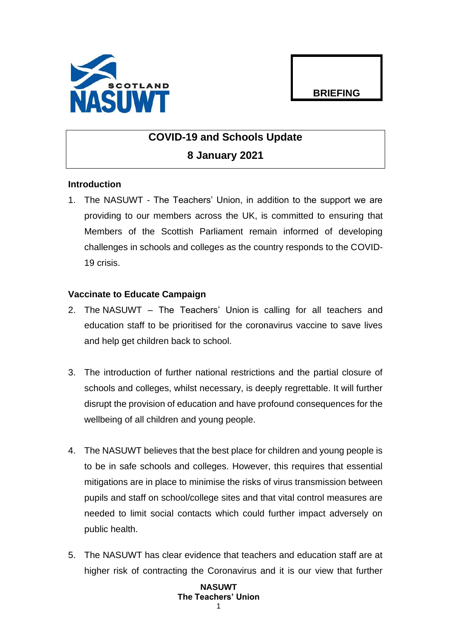

## **BRIEFING**

# **COVID-19 and Schools Update 8 January 2021**

## **Introduction**

1. The NASUWT - The Teachers' Union, in addition to the support we are providing to our members across the UK, is committed to ensuring that Members of the Scottish Parliament remain informed of developing challenges in schools and colleges as the country responds to the COVID-19 crisis.

### **Vaccinate to Educate Campaign**

- 2. The NASUWT The Teachers' Union is calling for all teachers and education staff to be prioritised for the coronavirus vaccine to save lives and help get children back to school.
- 3. The introduction of further national restrictions and the partial closure of schools and colleges, whilst necessary, is deeply regrettable. It will further disrupt the provision of education and have profound consequences for the wellbeing of all children and young people.
- 4. The NASUWT believes that the best place for children and young people is to be in safe schools and colleges. However, this requires that essential mitigations are in place to minimise the risks of virus transmission between pupils and staff on school/college sites and that vital control measures are needed to limit social contacts which could further impact adversely on public health.
- 5. The NASUWT has clear evidence that teachers and education staff are at higher risk of contracting the Coronavirus and it is our view that further

### **NASUWT The Teachers' Union**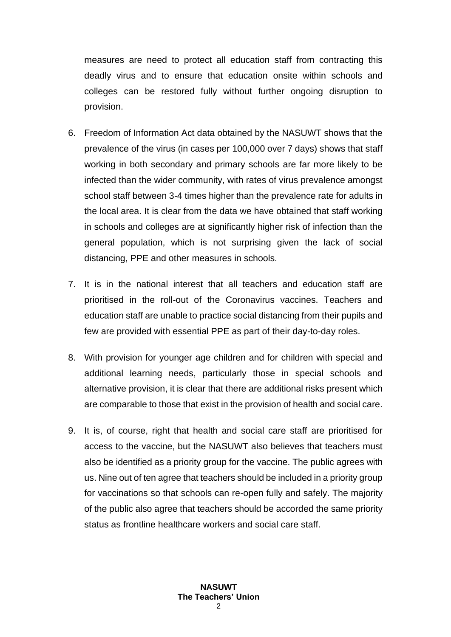measures are need to protect all education staff from contracting this deadly virus and to ensure that education onsite within schools and colleges can be restored fully without further ongoing disruption to provision.

- 6. Freedom of Information Act data obtained by the NASUWT shows that the prevalence of the virus (in cases per 100,000 over 7 days) shows that staff working in both secondary and primary schools are far more likely to be infected than the wider community, with rates of virus prevalence amongst school staff between 3-4 times higher than the prevalence rate for adults in the local area. It is clear from the data we have obtained that staff working in schools and colleges are at significantly higher risk of infection than the general population, which is not surprising given the lack of social distancing, PPE and other measures in schools.
- 7. It is in the national interest that all teachers and education staff are prioritised in the roll-out of the Coronavirus vaccines. Teachers and education staff are unable to practice social distancing from their pupils and few are provided with essential PPE as part of their day-to-day roles.
- 8. With provision for younger age children and for children with special and additional learning needs, particularly those in special schools and alternative provision, it is clear that there are additional risks present which are comparable to those that exist in the provision of health and social care.
- 9. It is, of course, right that health and social care staff are prioritised for access to the vaccine, but the NASUWT also believes that teachers must also be identified as a priority group for the vaccine. The public agrees with us. Nine out of ten agree that teachers should be included in a priority group for vaccinations so that schools can re-open fully and safely. The majority of the public also agree that teachers should be accorded the same priority status as frontline healthcare workers and social care staff.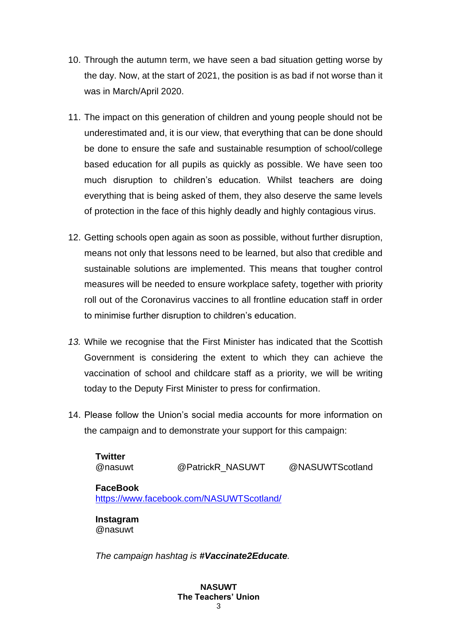- 10. Through the autumn term, we have seen a bad situation getting worse by the day. Now, at the start of 2021, the position is as bad if not worse than it was in March/April 2020.
- 11. The impact on this generation of children and young people should not be underestimated and, it is our view, that everything that can be done should be done to ensure the safe and sustainable resumption of school/college based education for all pupils as quickly as possible. We have seen too much disruption to children's education. Whilst teachers are doing everything that is being asked of them, they also deserve the same levels of protection in the face of this highly deadly and highly contagious virus.
- 12. Getting schools open again as soon as possible, without further disruption, means not only that lessons need to be learned, but also that credible and sustainable solutions are implemented. This means that tougher control measures will be needed to ensure workplace safety, together with priority roll out of the Coronavirus vaccines to all frontline education staff in order to minimise further disruption to children's education.
- *13.* While we recognise that the First Minister has indicated that the Scottish Government is considering the extent to which they can achieve the vaccination of school and childcare staff as a priority, we will be writing today to the Deputy First Minister to press for confirmation.
- 14. Please follow the Union's social media accounts for more information on the campaign and to demonstrate your support for this campaign:

| <b>Twitter</b><br>@nasuwt | @PatrickR NASUWT                         | @NASUWTScotland |
|---------------------------|------------------------------------------|-----------------|
| <b>FaceBook</b>           | https://www.facebook.com/NASUWTScotland/ |                 |
| Instagram<br>@nasuwt      |                                          |                 |

*The campaign hashtag is #Vaccinate2Educate.*

#### **NASUWT The Teachers' Union**  $\mathbf{c}$